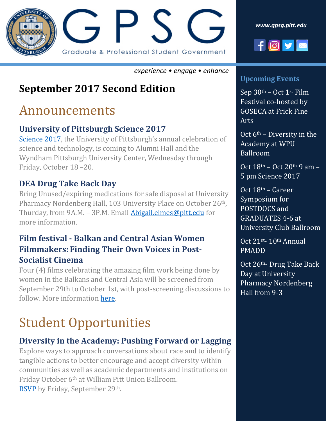

*[www.gpsg.pitt.edu](http://www.gpsg.pitt.edu/)*



#### *experience • engage • enhance*

## **September 2017 Second Edition**

## Announcements

### **University of Pittsburgh Science 2017**

[Science 2017](http://www.healthdiversity.pitt.edu/event/university-pittsburgh-science-2017), the University of Pittsburgh's annual celebration of science and technology, is coming to Alumni Hall and the Wyndham Pittsburgh University Center, Wednesday through Friday, October 18 –20.

#### **DEA Drug Take Back Day**

Bring Unused/expiring medications for safe disposal at University Pharmacy Nordenberg Hall, 103 University Place on October 26<sup>th</sup>, Thurday, from 9A.M. – 3P.M. Email [Abigail.elmes@pitt.edu](mailto:Abigail.elmes@pitt.edu) for more information.

#### **Film festival - Balkan and Central Asian Women Filmmakers: Finding Their Own Voices in Post-Socialist Cinema**

Four (4) films celebrating the amazing film work being done by women in the Balkans and Central Asia will be screened from September 29th to October 1st, with post-screening discussions to follow. More information [here.](https://www.ucis.pitt.edu/crees/news/women-filmmakers)

# Student Opportunities

#### **Diversity in the Academy: Pushing Forward or Lagging**

Explore ways to approach conversations about race and to identify tangible actions to better encourage and accept diversity within communities as well as academic departments and institutions on Friday October 6th at William Pitt Union Ballroom. [RSVP](https://goo.gl/forms/PNknjhjFvMGYSodS2) by Friday, September 29th.

#### **Upcoming Events**

Sep 30th – Oct 1st Film Festival co-hosted by GOSECA at Frick Fine Arts

Oct  $6<sup>th</sup>$  – Diversity in the Academy at WPU Ballroom

Oct 18th – Oct 20th 9 am – 5 pm Science 2017

Oct 18th – Career Symposium for POSTDOCS and GRADUATES 4-6 at University Club Ballroom

Oct 21st- 10th Annual PMADD

Oct 26th- Drug Take Back Day at University Pharmacy Nordenberg Hall from 9-3